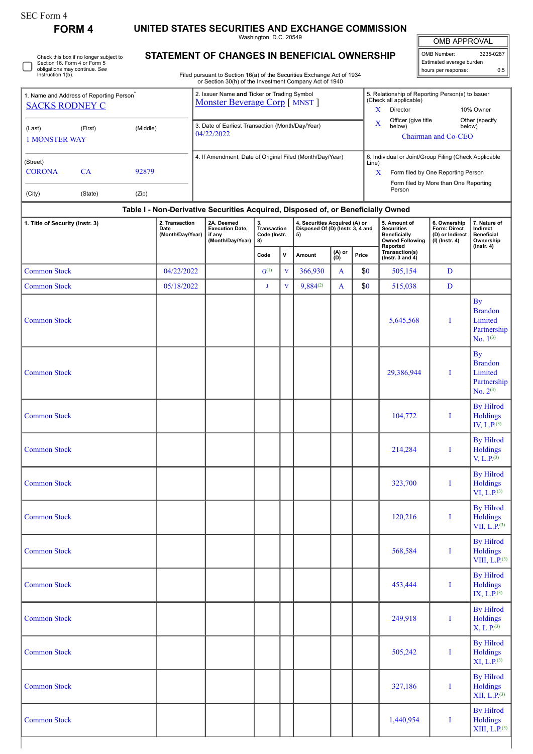|  | rorm |
|--|------|
|--|------|

## **FORM 4 UNITED STATES SECURITIES AND EXCHANGE COMMISSION**

Washington, D.C. 20549

OMB APPROVAL OMB Number: 3235-0287 Estimated average burden hours per response: 0.5

| Check this box if no longer subject to |
|----------------------------------------|
| Section 16, Form 4 or Form 5           |
| obligations may continue. See          |
| Instruction 1(b).                      |
|                                        |

## **STATEMENT OF CHANGES IN BENEFICIAL OWNERSHIP**

Filed pursuant to Section 16(a) of the Securities Exchange Act of 1934 or Section 30(h) of the Investment Company Act of 1940

|                                                                                                                                             | 1. Name and Address of Reporting Person <sup>®</sup>                             |          | 2. Issuer Name and Ticker or Trading Symbol<br>Monster Beverage Corp [ MNST ] | 5. Relationship of Reporting Person(s) to Issuer<br>(Check all applicable)             |  |  |  |  |  |  |  |  |  |
|---------------------------------------------------------------------------------------------------------------------------------------------|----------------------------------------------------------------------------------|----------|-------------------------------------------------------------------------------|----------------------------------------------------------------------------------------|--|--|--|--|--|--|--|--|--|
| <b>SACKS RODNEY C</b>                                                                                                                       |                                                                                  |          |                                                                               | Director<br>10% Owner                                                                  |  |  |  |  |  |  |  |  |  |
| (Last)<br><b>1 MONSTER WAY</b>                                                                                                              | (First)                                                                          | (Middle) | 3. Date of Earliest Transaction (Month/Day/Year)<br>04/22/2022                | Officer (give title<br>Other (specify)<br>X<br>below)<br>below)<br>Chairman and Co-CEO |  |  |  |  |  |  |  |  |  |
| (Street)                                                                                                                                    |                                                                                  |          | 4. If Amendment, Date of Original Filed (Month/Day/Year)                      | 6. Individual or Joint/Group Filing (Check Applicable<br>Line)                         |  |  |  |  |  |  |  |  |  |
| <b>CORONA</b>                                                                                                                               | CA                                                                               | 92879    |                                                                               | Form filed by One Reporting Person<br>x                                                |  |  |  |  |  |  |  |  |  |
| (City)                                                                                                                                      | (State)                                                                          | (Zip)    |                                                                               | Form filed by More than One Reporting<br>Person                                        |  |  |  |  |  |  |  |  |  |
|                                                                                                                                             | Table I - Non-Derivative Securities Acquired, Disposed of, or Beneficially Owned |          |                                                                               |                                                                                        |  |  |  |  |  |  |  |  |  |
| $\frac{1}{2}$ and $\frac{1}{2}$ and $\frac{1}{2}$ and $\frac{1}{2}$ and $\frac{1}{2}$ and $\frac{1}{2}$ and $\frac{1}{2}$ and $\frac{1}{2}$ |                                                                                  |          | $\frac{1}{2}$<br>. .<br>.                                                     | .<br>$\sim$ $\sim$ $\sim$<br>-- -                                                      |  |  |  |  |  |  |  |  |  |

| 1. Title of Security (Instr. 3) | 2. Transaction<br>Date<br>(Month/Day/Year) | 2A. Deemed<br><b>Execution Date,</b><br>if any<br>(Month/Day/Year) | 3.<br>Transaction<br>Code (Instr.<br>8) |             | 4. Securities Acquired (A) or<br>Disposed Of (D) (Instr. 3, 4 and<br>5) |                        |     | 5. Amount of<br><b>Securities</b><br><b>Beneficially</b><br><b>Owned Following</b> | 6. Ownership<br>Form: Direct<br>(D) or Indirect<br>$(I)$ (Instr. 4) | 7. Nature of<br>Indirect<br><b>Beneficial</b><br>Ownership             |  |
|---------------------------------|--------------------------------------------|--------------------------------------------------------------------|-----------------------------------------|-------------|-------------------------------------------------------------------------|------------------------|-----|------------------------------------------------------------------------------------|---------------------------------------------------------------------|------------------------------------------------------------------------|--|
|                                 |                                            |                                                                    | V<br>Code                               |             | Amount                                                                  | (A) or<br>Price<br>(D) |     | Reported<br>Transaction(s)<br>( $lnstr. 3 and 4$ )                                 |                                                                     | $($ Instr. 4 $)$                                                       |  |
| <b>Common Stock</b>             | 04/22/2022                                 |                                                                    | $G^{(1)}$                               | $\mathbf V$ | 366,930                                                                 | A                      | \$0 | 505,154                                                                            | $\mathbf D$                                                         |                                                                        |  |
| <b>Common Stock</b>             | 05/18/2022                                 |                                                                    | J                                       | $\mathbf V$ | $9,884^{(2)}$                                                           | A                      | \$0 | 515,038                                                                            | $\mathbf D$                                                         |                                                                        |  |
| <b>Common Stock</b>             |                                            |                                                                    |                                         |             |                                                                         |                        |     | 5,645,568                                                                          | I                                                                   | <b>By</b><br><b>Brandon</b><br>Limited<br>Partnership<br>No. $1^{(3)}$ |  |
| <b>Common Stock</b>             |                                            |                                                                    |                                         |             |                                                                         |                        |     | 29,386,944                                                                         | I                                                                   | <b>By</b><br><b>Brandon</b><br>Limited<br>Partnership<br>No. $2^{(3)}$ |  |
| <b>Common Stock</b>             |                                            |                                                                    |                                         |             |                                                                         |                        |     | 104,772                                                                            | I                                                                   | <b>By Hilrod</b><br>Holdings<br>IV, $L.P.$ <sup>(3)</sup>              |  |
| <b>Common Stock</b>             |                                            |                                                                    |                                         |             |                                                                         |                        |     | 214,284                                                                            | I                                                                   | <b>By Hilrod</b><br><b>Holdings</b><br>V, L.P. <sup>(3)</sup>          |  |
| <b>Common Stock</b>             |                                            |                                                                    |                                         |             |                                                                         |                        |     | 323,700                                                                            | I                                                                   | <b>By Hilrod</b><br><b>Holdings</b><br>VI, L.P. <sup>(3)</sup>         |  |
| <b>Common Stock</b>             |                                            |                                                                    |                                         |             |                                                                         |                        |     | 120,216                                                                            | I                                                                   | <b>By Hilrod</b><br><b>Holdings</b><br>VII, $L.P^{(3)}$                |  |
| <b>Common Stock</b>             |                                            |                                                                    |                                         |             |                                                                         |                        |     | 568,584                                                                            | I                                                                   | <b>By Hilrod</b><br><b>Holdings</b><br>VIII, $L.P^{(3)}$               |  |
| <b>Common Stock</b>             |                                            |                                                                    |                                         |             |                                                                         |                        |     | 453,444                                                                            | I                                                                   | <b>By Hilrod</b><br>Holdings<br>IX, L.P. <sup>(3)</sup>                |  |
| <b>Common Stock</b>             |                                            |                                                                    |                                         |             |                                                                         |                        |     | 249,918                                                                            | I                                                                   | <b>By Hilrod</b><br>Holdings<br>X, L.P. <sup>(3)</sup>                 |  |
| <b>Common Stock</b>             |                                            |                                                                    |                                         |             |                                                                         |                        |     | 505,242                                                                            | $\bf{I}$                                                            | <b>By Hilrod</b><br>Holdings<br>XI, L.P. <sup>(3)</sup>                |  |
| <b>Common Stock</b>             |                                            |                                                                    |                                         |             |                                                                         |                        |     | 327,186                                                                            | I                                                                   | <b>By Hilrod</b><br>Holdings<br>XII, L.P. <sup>(3)</sup>               |  |
| <b>Common Stock</b>             |                                            |                                                                    |                                         |             |                                                                         |                        |     | 1,440,954                                                                          | $\bf I$                                                             | <b>By Hilrod</b><br>Holdings<br>XIII, L.P. <sup>(3)</sup>              |  |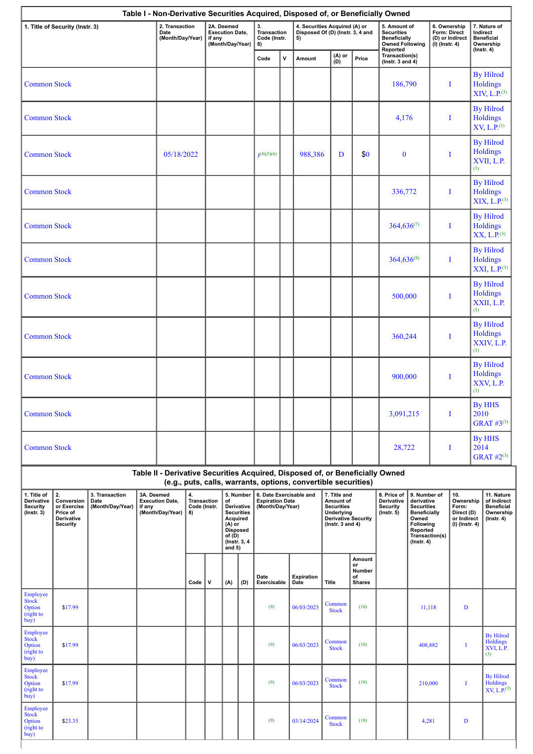|                                                                 |                                                                              |                                            |                                            |                                                                    |          |                                                                                                                                                                                                                                             |                                         |     |                                                                       |                                                                   | Table I - Non-Derivative Securities Acquired, Disposed of, or Beneficially Owned                                   |                                                                                                |                                                          |                                                                                                                              |                |                                                                                |                                                                           |                                                                   |  |  |   |                                                          |
|-----------------------------------------------------------------|------------------------------------------------------------------------------|--------------------------------------------|--------------------------------------------|--------------------------------------------------------------------|----------|---------------------------------------------------------------------------------------------------------------------------------------------------------------------------------------------------------------------------------------------|-----------------------------------------|-----|-----------------------------------------------------------------------|-------------------------------------------------------------------|--------------------------------------------------------------------------------------------------------------------|------------------------------------------------------------------------------------------------|----------------------------------------------------------|------------------------------------------------------------------------------------------------------------------------------|----------------|--------------------------------------------------------------------------------|---------------------------------------------------------------------------|-------------------------------------------------------------------|--|--|---|----------------------------------------------------------|
| 1. Title of Security (Instr. 3)                                 |                                                                              |                                            | 2. Transaction<br>Date<br>(Month/Day/Year) | 2A. Deemed<br><b>Execution Date,</b><br>if any<br>(Month/Day/Year) |          |                                                                                                                                                                                                                                             | 3.<br>Transaction<br>Code (Instr.<br>8) |     | 5)                                                                    | 4. Securities Acquired (A) or<br>Disposed Of (D) (Instr. 3, 4 and |                                                                                                                    | 5. Amount of<br><b>Securities</b><br><b>Beneficially</b><br><b>Owned Following</b><br>Reported |                                                          | 6. Ownership<br>Form: Direct<br>(D) or Indirect<br>$(I)$ (Instr. 4)                                                          |                | 7. Nature of<br>Indirect<br><b>Beneficial</b><br>Ownership<br>$($ Instr. 4 $)$ |                                                                           |                                                                   |  |  |   |                                                          |
|                                                                 |                                                                              |                                            |                                            |                                                                    |          |                                                                                                                                                                                                                                             |                                         |     | Code                                                                  | v                                                                 | Amount                                                                                                             | (A) or<br>(D)                                                                                  | Price                                                    | Transaction(s)<br>$($ Instr. 3 and 4 $)$                                                                                     |                |                                                                                |                                                                           |                                                                   |  |  |   |                                                          |
| <b>Common Stock</b>                                             |                                                                              |                                            |                                            |                                                                    |          |                                                                                                                                                                                                                                             |                                         |     |                                                                       |                                                                   |                                                                                                                    |                                                                                                |                                                          | 186,790                                                                                                                      |                |                                                                                | I                                                                         | <b>By Hilrod</b><br><b>Holdings</b><br>XIV, L.P. <sup>(3)</sup>   |  |  |   |                                                          |
| <b>Common Stock</b>                                             |                                                                              |                                            |                                            |                                                                    |          |                                                                                                                                                                                                                                             |                                         |     |                                                                       |                                                                   |                                                                                                                    |                                                                                                |                                                          | 4,176                                                                                                                        |                |                                                                                | I                                                                         | <b>By Hilrod</b><br><b>Holdings</b><br>XV, L.P. <sup>(3)</sup>    |  |  |   |                                                          |
| <b>Common Stock</b>                                             |                                                                              |                                            |                                            | 05/18/2022                                                         |          |                                                                                                                                                                                                                                             |                                         |     | I(4)(5)(6)                                                            |                                                                   | 988,386                                                                                                            | D                                                                                              | \$0                                                      | $\bf{0}$                                                                                                                     |                |                                                                                | I                                                                         | <b>By Hilrod</b><br>Holdings<br>XVII, L.P.<br>(3)                 |  |  |   |                                                          |
| <b>Common Stock</b>                                             |                                                                              |                                            |                                            |                                                                    |          |                                                                                                                                                                                                                                             |                                         |     |                                                                       |                                                                   |                                                                                                                    |                                                                                                |                                                          | 336,772                                                                                                                      |                |                                                                                | I                                                                         | <b>By Hilrod</b><br><b>Holdings</b><br>XIX, L.P. <sup>(3)</sup>   |  |  |   |                                                          |
| <b>Common Stock</b>                                             |                                                                              |                                            |                                            |                                                                    |          |                                                                                                                                                                                                                                             |                                         |     |                                                                       |                                                                   |                                                                                                                    |                                                                                                |                                                          | $364,636^{(7)}$                                                                                                              |                |                                                                                | Ι                                                                         | <b>By Hilrod</b><br><b>Holdings</b><br>$XX, L.P.$ <sup>(3)</sup>  |  |  |   |                                                          |
| <b>Common Stock</b>                                             |                                                                              |                                            |                                            |                                                                    |          |                                                                                                                                                                                                                                             |                                         |     |                                                                       |                                                                   |                                                                                                                    |                                                                                                |                                                          | $364,636^{(8)}$                                                                                                              |                |                                                                                | I                                                                         | <b>By Hilrod</b><br>Holdings<br>XXI, L.P. <sup>(3)</sup>          |  |  |   |                                                          |
| <b>Common Stock</b>                                             |                                                                              |                                            |                                            |                                                                    |          |                                                                                                                                                                                                                                             |                                         |     |                                                                       |                                                                   |                                                                                                                    |                                                                                                |                                                          | 500,000                                                                                                                      |                |                                                                                | I                                                                         | <b>By Hilrod</b><br><b>Holdings</b><br>XXII, L.P.<br>(3)          |  |  |   |                                                          |
| <b>Common Stock</b>                                             |                                                                              |                                            |                                            |                                                                    |          |                                                                                                                                                                                                                                             |                                         |     |                                                                       |                                                                   |                                                                                                                    |                                                                                                |                                                          |                                                                                                                              |                |                                                                                | 360,244                                                                   |                                                                   |  |  | I | <b>By Hilrod</b><br><b>Holdings</b><br>XXIV, L.P.<br>(3) |
| <b>Common Stock</b>                                             |                                                                              |                                            |                                            |                                                                    |          |                                                                                                                                                                                                                                             |                                         |     |                                                                       |                                                                   |                                                                                                                    |                                                                                                |                                                          |                                                                                                                              |                |                                                                                | 900,000                                                                   |                                                                   |  |  | I | <b>By Hilrod</b><br><b>Holdings</b><br>XXV, L.P.<br>(3)  |
| <b>Common Stock</b>                                             |                                                                              |                                            |                                            |                                                                    |          |                                                                                                                                                                                                                                             |                                         |     |                                                                       |                                                                   |                                                                                                                    |                                                                                                |                                                          | 3,091,215                                                                                                                    |                |                                                                                | I                                                                         | <b>By HHS</b><br>2010<br><b>GRAT #3(3)</b>                        |  |  |   |                                                          |
| <b>Common Stock</b>                                             |                                                                              |                                            |                                            |                                                                    |          |                                                                                                                                                                                                                                             |                                         |     |                                                                       |                                                                   |                                                                                                                    | 28,722                                                                                         |                                                          |                                                                                                                              | I              | By HHS<br>2014<br><b>GRAT #2(3)</b>                                            |                                                                           |                                                                   |  |  |   |                                                          |
|                                                                 |                                                                              |                                            |                                            |                                                                    |          |                                                                                                                                                                                                                                             |                                         |     |                                                                       |                                                                   | Table II - Derivative Securities Acquired, Disposed of, or Beneficially Owned                                      |                                                                                                |                                                          |                                                                                                                              |                |                                                                                |                                                                           |                                                                   |  |  |   |                                                          |
| 1. Title of<br>Derivative<br><b>Security</b><br>$($ Instr. $3)$ | 2.<br>Conversion<br>or Exercise<br>Price of<br>Derivative<br><b>Security</b> | 3. Transaction<br>Date<br>(Month/Day/Year) | 3A. Deemed<br>if any                       | <b>Execution Date,</b><br>(Month/Day/Year)                         | 4.<br>8) | (e.g., puts, calls, warrants, options, convertible securities)<br>5. Number<br><b>Transaction</b><br>of<br>Code (Instr.<br>Derivative<br><b>Securities</b><br>Acquired<br>$(A)$ or<br><b>Disposed</b><br>of(D)<br>(Instr. 3, 4)<br>and $5)$ |                                         |     | 6. Date Exercisable and<br><b>Expiration Date</b><br>(Month/Day/Year) |                                                                   | 7. Title and<br>Amount of<br><b>Securities</b><br>Underlying<br><b>Derivative Security</b><br>( $lnstr. 3 and 4$ ) |                                                                                                | 8. Price of<br>Derivative<br>Security<br>$($ lnstr. $5)$ | 9. Number of<br>derivative<br><b>Securities</b><br><b>Beneficially</b><br>Owned<br>Following<br>Reported<br>$($ Instr. 4 $)$ | Transaction(s) | 10.<br>Ownership<br>Form:<br>Direct (D)<br>or Indirect<br>$(I)$ (Instr. 4)     | 11. Nature<br>of Indirect<br><b>Beneficial</b><br>Ownership<br>(Instr. 4) |                                                                   |  |  |   |                                                          |
|                                                                 |                                                                              |                                            |                                            |                                                                    | Code     | $\mathsf{v}$                                                                                                                                                                                                                                | (A)                                     | (D) | Date<br>Exercisable                                                   |                                                                   | Expiration<br>Date                                                                                                 | <b>Title</b>                                                                                   | Amount<br>or<br>Number<br>of<br><b>Shares</b>            |                                                                                                                              |                |                                                                                |                                                                           |                                                                   |  |  |   |                                                          |
| Employee<br><b>Stock</b><br>Option<br>(right to<br>buy)         | \$17.99                                                                      |                                            |                                            |                                                                    |          |                                                                                                                                                                                                                                             |                                         |     | (9)                                                                   |                                                                   | 06/03/2023                                                                                                         | Common<br><b>Stock</b>                                                                         | (10)                                                     |                                                                                                                              | 11,118         |                                                                                | D                                                                         |                                                                   |  |  |   |                                                          |
| Employee<br>Stock<br>Option<br>(right to<br>buy)                | \$17.99                                                                      |                                            |                                            |                                                                    |          |                                                                                                                                                                                                                                             |                                         |     | (9)                                                                   |                                                                   | 06/03/2023                                                                                                         | Common<br><b>Stock</b>                                                                         | (10)                                                     |                                                                                                                              | 408,882        |                                                                                | $\mathbf I$                                                               | <b>By Hilrod</b><br><b>Holdings</b><br>XVI, L.P.<br>(3)           |  |  |   |                                                          |
| Employee<br><b>Stock</b><br>Option<br>(right to<br>buy)         | \$17.99                                                                      |                                            |                                            |                                                                    |          |                                                                                                                                                                                                                                             |                                         |     | (9)                                                                   |                                                                   | 06/03/2023                                                                                                         | Common<br><b>Stock</b>                                                                         | (10)                                                     |                                                                                                                              | 210,000        |                                                                                | I                                                                         | <b>By Hilrod</b><br><b>Holdings</b><br>$XY, L.\overline{P}^{(3)}$ |  |  |   |                                                          |
| Employee<br>Stock<br>Option<br>(right to<br>buy)                | \$23.35                                                                      |                                            |                                            |                                                                    |          |                                                                                                                                                                                                                                             |                                         |     | (9)                                                                   |                                                                   | 03/14/2024                                                                                                         | Common<br><b>Stock</b>                                                                         | (10)                                                     |                                                                                                                              | 4,281          |                                                                                | D                                                                         |                                                                   |  |  |   |                                                          |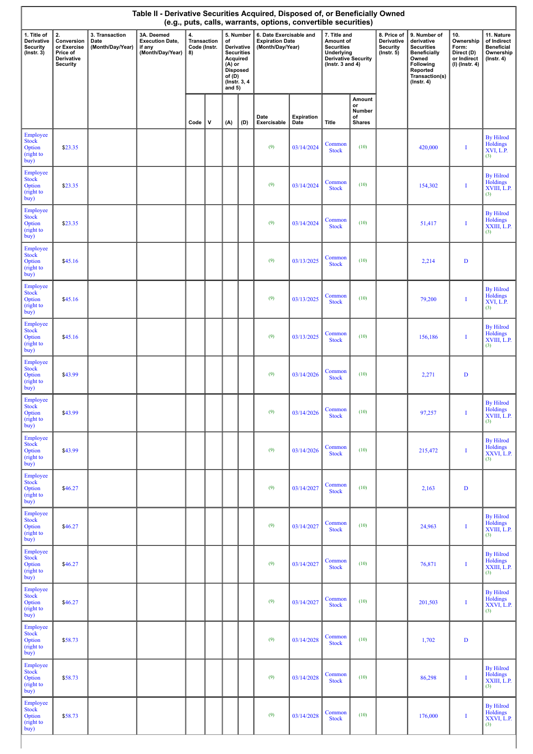| Table II - Derivative Securities Acquired, Disposed of, or Beneficially Owned<br>(e.g., puts, calls, warrants, options, convertible securities) |                                                                              |                                            |                                                                    |                                         |   |                                                                                                                                        |     |                                                                       |                    |                                                                                                                    |                                               |                                                                  |                                                                                                                                                |                                                                            |                                                                                 |
|-------------------------------------------------------------------------------------------------------------------------------------------------|------------------------------------------------------------------------------|--------------------------------------------|--------------------------------------------------------------------|-----------------------------------------|---|----------------------------------------------------------------------------------------------------------------------------------------|-----|-----------------------------------------------------------------------|--------------------|--------------------------------------------------------------------------------------------------------------------|-----------------------------------------------|------------------------------------------------------------------|------------------------------------------------------------------------------------------------------------------------------------------------|----------------------------------------------------------------------------|---------------------------------------------------------------------------------|
| 1. Title of<br>Derivative<br>Security<br>$($ Instr. 3 $)$                                                                                       | 2.<br>Conversion<br>or Exercise<br>Price of<br>Derivative<br><b>Security</b> | 3. Transaction<br>Date<br>(Month/Day/Year) | 3A. Deemed<br><b>Execution Date,</b><br>if any<br>(Month/Day/Year) | 4.<br>Transaction<br>Code (Instr.<br>8) |   | 5. Number<br>of<br>Derivative<br><b>Securities</b><br>Acquired<br>$(A)$ or<br><b>Disposed</b><br>of $(D)$<br>(Instr. 3, 4)<br>and $5)$ |     | 6. Date Exercisable and<br><b>Expiration Date</b><br>(Month/Day/Year) |                    | 7. Title and<br>Amount of<br><b>Securities</b><br>Underlying<br><b>Derivative Security</b><br>( $lnstr. 3 and 4$ ) |                                               | 8. Price of<br>Derivative<br><b>Security</b><br>$($ lnstr. 5 $)$ | 9. Number of<br>derivative<br><b>Securities</b><br><b>Beneficially</b><br>Owned<br>Following<br>Reported<br>Transaction(s)<br>$($ Instr. 4 $)$ | 10.<br>Ownership<br>Form:<br>Direct (D)<br>or Indirect<br>$(I)$ (Instr. 4) | 11. Nature<br>of Indirect<br><b>Beneficial</b><br>Ownership<br>$($ lnstr. 4 $)$ |
|                                                                                                                                                 |                                                                              |                                            |                                                                    | Code                                    | V | (A)                                                                                                                                    | (D) | Date<br>Exercisable                                                   | Expiration<br>Date | Title                                                                                                              | Amount<br>or<br>Number<br>of<br><b>Shares</b> |                                                                  |                                                                                                                                                |                                                                            |                                                                                 |
| Employee<br>Stock<br>Option<br>(right to<br>buy)                                                                                                | \$23.35                                                                      |                                            |                                                                    |                                         |   |                                                                                                                                        |     | (9)                                                                   | 03/14/2024         | Common<br><b>Stock</b>                                                                                             | (10)                                          |                                                                  | 420,000                                                                                                                                        | I                                                                          | <b>By Hilrod</b><br>Holdings<br>XVI, L.P.<br>(3)                                |
| Employee<br><b>Stock</b><br>Option<br>(right to<br>buy)                                                                                         | \$23.35                                                                      |                                            |                                                                    |                                         |   |                                                                                                                                        |     | (9)                                                                   | 03/14/2024         | Common<br><b>Stock</b>                                                                                             | (10)                                          |                                                                  | 154,302                                                                                                                                        | I                                                                          | <b>By Hilrod</b><br>Holdings<br>XVIII, L.P.<br>(3)                              |
| Employee<br>Stock<br>Option<br>(right to<br>buy)                                                                                                | \$23.35                                                                      |                                            |                                                                    |                                         |   |                                                                                                                                        |     | (9)                                                                   | 03/14/2024         | Common<br><b>Stock</b>                                                                                             | (10)                                          |                                                                  | 51,417                                                                                                                                         | I                                                                          | <b>By Hilrod</b><br>Holdings<br>XXIII, L.P.<br>(3)                              |
| Employee<br><b>Stock</b><br>Option<br>(right to<br>buy)                                                                                         | \$45.16                                                                      |                                            |                                                                    |                                         |   |                                                                                                                                        |     | (9)                                                                   | 03/13/2025         | Common<br><b>Stock</b>                                                                                             | (10)                                          |                                                                  | 2,214                                                                                                                                          | $\mathbf D$                                                                |                                                                                 |
| Employee<br><b>Stock</b><br>Option<br>(right to<br>buy)                                                                                         | \$45.16                                                                      |                                            |                                                                    |                                         |   |                                                                                                                                        |     | (9)                                                                   | 03/13/2025         | Common<br><b>Stock</b>                                                                                             | (10)                                          |                                                                  | 79,200                                                                                                                                         | I                                                                          | <b>By Hilrod</b><br>Holdings<br>XVI, L.P.<br>(3)                                |
| Employee<br><b>Stock</b><br>Option<br>(right to<br>buy)                                                                                         | \$45.16                                                                      |                                            |                                                                    |                                         |   |                                                                                                                                        |     | (9)                                                                   | 03/13/2025         | Common<br><b>Stock</b>                                                                                             | (10)                                          |                                                                  | 156,186                                                                                                                                        | I                                                                          | <b>By Hilrod</b><br>Holdings<br>XVIII, L.P.<br>(3)                              |
| Employee<br><b>Stock</b><br>Option<br>(right to<br>buy)                                                                                         | \$43.99                                                                      |                                            |                                                                    |                                         |   |                                                                                                                                        |     | (9)                                                                   | 03/14/2026         | Common<br><b>Stock</b>                                                                                             | (10)                                          |                                                                  | 2,271                                                                                                                                          | $\mathbf D$                                                                |                                                                                 |
| Employee<br><b>Stock</b><br>Option<br>(right to<br>buy)                                                                                         | \$43.99                                                                      |                                            |                                                                    |                                         |   |                                                                                                                                        |     | (9)                                                                   | 03/14/2026         | Common<br><b>Stock</b>                                                                                             | (10)                                          |                                                                  | 97,257                                                                                                                                         |                                                                            | <b>By Hilrod</b><br>Holdings<br>XVIII, L.P.<br>(3)                              |
| Employee<br><b>Stock</b><br>Option<br>(right to<br>buy)                                                                                         | \$43.99                                                                      |                                            |                                                                    |                                         |   |                                                                                                                                        |     | (9)                                                                   | 03/14/2026         | Common<br><b>Stock</b>                                                                                             | (10)                                          |                                                                  | 215,472                                                                                                                                        | I                                                                          | <b>By Hilrod</b><br>Holdings<br>XXVI, L.P.<br>(3)                               |
| Employee<br><b>Stock</b><br>Option<br>(right to<br>buy)                                                                                         | \$46.27                                                                      |                                            |                                                                    |                                         |   |                                                                                                                                        |     | (9)                                                                   | 03/14/2027         | Common<br><b>Stock</b>                                                                                             | (10)                                          |                                                                  | 2,163                                                                                                                                          | D                                                                          |                                                                                 |
| Employee<br><b>Stock</b><br>Option<br>(right to<br>buy)                                                                                         | \$46.27                                                                      |                                            |                                                                    |                                         |   |                                                                                                                                        |     | (9)                                                                   | 03/14/2027         | Common<br><b>Stock</b>                                                                                             | (10)                                          |                                                                  | 24,963                                                                                                                                         | I                                                                          | <b>By Hilrod</b><br>Holdings<br>XVIII, L.P.<br>(3)                              |
| Employee<br><b>Stock</b><br>Option<br>(right to<br>buy)                                                                                         | \$46.27                                                                      |                                            |                                                                    |                                         |   |                                                                                                                                        |     | (9)                                                                   | 03/14/2027         | Common<br><b>Stock</b>                                                                                             | (10)                                          |                                                                  | 76,871                                                                                                                                         | I                                                                          | <b>By Hilrod</b><br>Holdings<br>XXIII, L.P.<br>(3)                              |
| Employee<br><b>Stock</b><br>Option<br>(right to<br>buy)                                                                                         | \$46.27                                                                      |                                            |                                                                    |                                         |   |                                                                                                                                        |     | (9)                                                                   | 03/14/2027         | Common<br><b>Stock</b>                                                                                             | (10)                                          |                                                                  | 201,503                                                                                                                                        | I                                                                          | <b>By Hilrod</b><br>Holdings<br>XXVI, L.P.<br>(3)                               |
| Employee<br><b>Stock</b><br>Option<br>(right to<br>buy)                                                                                         | \$58.73                                                                      |                                            |                                                                    |                                         |   |                                                                                                                                        |     | (9)                                                                   | 03/14/2028         | Common<br><b>Stock</b>                                                                                             | (10)                                          |                                                                  | 1,702                                                                                                                                          | D                                                                          |                                                                                 |
| Employee<br><b>Stock</b><br>Option<br>(right to<br>buy)                                                                                         | \$58.73                                                                      |                                            |                                                                    |                                         |   |                                                                                                                                        |     | (9)                                                                   | 03/14/2028         | Common<br><b>Stock</b>                                                                                             | (10)                                          |                                                                  | 86,298                                                                                                                                         | I                                                                          | <b>By Hilrod</b><br>Holdings<br>XXIII, L.P.<br>(3)                              |
| Employee<br><b>Stock</b><br>Option<br>(right to<br>buy)                                                                                         | \$58.73                                                                      |                                            |                                                                    |                                         |   |                                                                                                                                        |     | (9)                                                                   | 03/14/2028         | Common<br><b>Stock</b>                                                                                             | (10)                                          |                                                                  | 176,000                                                                                                                                        | I                                                                          | <b>By Hilrod</b><br>Holdings<br>XXVI, L.P.<br>(3)                               |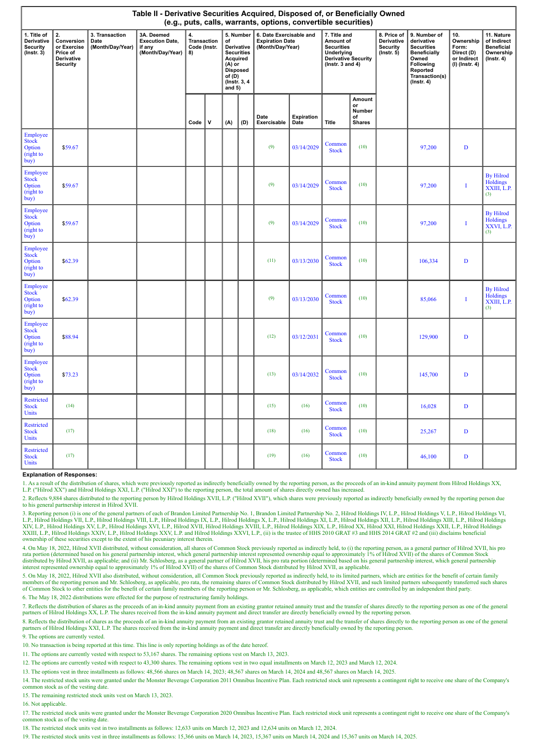|                                                                  | Table II - Derivative Securities Acquired, Disposed of, or Beneficially Owned<br>(e.g., puts, calls, warrants, options, convertible securities) |                                            |                                                                    |                                         |             |                                                                                                                              |     |                                                                       |                    |                                                                                                             |                                                      |                                                          |                                                                                                                                                |                                                                            |                                                                                 |
|------------------------------------------------------------------|-------------------------------------------------------------------------------------------------------------------------------------------------|--------------------------------------------|--------------------------------------------------------------------|-----------------------------------------|-------------|------------------------------------------------------------------------------------------------------------------------------|-----|-----------------------------------------------------------------------|--------------------|-------------------------------------------------------------------------------------------------------------|------------------------------------------------------|----------------------------------------------------------|------------------------------------------------------------------------------------------------------------------------------------------------|----------------------------------------------------------------------------|---------------------------------------------------------------------------------|
| 1. Title of<br>Derivative<br><b>Security</b><br>$($ Instr. 3 $)$ | 2.<br>Conversion<br>or Exercise<br>Price of<br>Derivative<br><b>Security</b>                                                                    | 3. Transaction<br>Date<br>(Month/Day/Year) | 3A. Deemed<br><b>Execution Date,</b><br>if any<br>(Month/Day/Year) | 4.<br>Transaction<br>Code (Instr.<br>8) |             | 5. Number<br>of<br>Derivative<br><b>Securities</b><br>Acquired<br>$(A)$ or<br>Disposed<br>of (D)<br>(Instr. 3, 4<br>and $5)$ |     | 6. Date Exercisable and<br><b>Expiration Date</b><br>(Month/Day/Year) |                    | 7. Title and<br>Amount of<br><b>Securities</b><br>Underlying<br>Derivative Security<br>( $lnstr. 3 and 4$ ) |                                                      | 8. Price of<br>Derivative<br>Security<br>$($ Instr. $5)$ | 9. Number of<br>derivative<br><b>Securities</b><br><b>Beneficially</b><br>Owned<br>Following<br>Reported<br>Transaction(s)<br>$($ Instr. 4 $)$ | 10.<br>Ownership<br>Form:<br>Direct (D)<br>or Indirect<br>$(I)$ (Instr. 4) | 11. Nature<br>of Indirect<br><b>Beneficial</b><br>Ownership<br>$($ lnstr. 4 $)$ |
|                                                                  |                                                                                                                                                 |                                            |                                                                    | Code                                    | $\mathbf v$ | (A)                                                                                                                          | (D) | Date<br>Exercisable                                                   | Expiration<br>Date | Title                                                                                                       | <b>Amount</b><br>or<br>Number<br>of<br><b>Shares</b> |                                                          |                                                                                                                                                |                                                                            |                                                                                 |
| Employee<br><b>Stock</b><br>Option<br>(right to<br>buy)          | \$59.67                                                                                                                                         |                                            |                                                                    |                                         |             |                                                                                                                              |     | (9)                                                                   | 03/14/2029         | Common<br><b>Stock</b>                                                                                      | (10)                                                 |                                                          | 97,200                                                                                                                                         | $\mathbf D$                                                                |                                                                                 |
| Employee<br><b>Stock</b><br>Option<br>(right to<br>buy)          | \$59.67                                                                                                                                         |                                            |                                                                    |                                         |             |                                                                                                                              |     | (9)                                                                   | 03/14/2029         | Common<br><b>Stock</b>                                                                                      | (10)                                                 |                                                          | 97,200                                                                                                                                         | I                                                                          | <b>By Hilrod</b><br><b>Holdings</b><br>XXIII, L.P.<br>(3)                       |
| Employee<br><b>Stock</b><br>Option<br>(right to<br>buy)          | \$59.67                                                                                                                                         |                                            |                                                                    |                                         |             |                                                                                                                              |     | (9)                                                                   | 03/14/2029         | Common<br><b>Stock</b>                                                                                      | (10)                                                 |                                                          | 97,200                                                                                                                                         | $\mathbf I$                                                                | <b>By Hilrod</b><br>Holdings<br>XXVI, L.P.<br>(3)                               |
| Employee<br><b>Stock</b><br>Option<br>(right to<br>buy)          | \$62.39                                                                                                                                         |                                            |                                                                    |                                         |             |                                                                                                                              |     | (11)                                                                  | 03/13/2030         | Common<br><b>Stock</b>                                                                                      | (10)                                                 |                                                          | 106,334                                                                                                                                        | D                                                                          |                                                                                 |
| Employee<br><b>Stock</b><br>Option<br>(right to<br>buy)          | \$62.39                                                                                                                                         |                                            |                                                                    |                                         |             |                                                                                                                              |     | (9)                                                                   | 03/13/2030         | Common<br><b>Stock</b>                                                                                      | (10)                                                 |                                                          | 85,066                                                                                                                                         | Ī                                                                          | <b>By Hilrod</b><br><b>Holdings</b><br>XXIII, L.P.<br>(3)                       |
| Employee<br><b>Stock</b><br>Option<br>(right to<br>buy)          | \$88.94                                                                                                                                         |                                            |                                                                    |                                         |             |                                                                                                                              |     | (12)                                                                  | 03/12/2031         | Common<br><b>Stock</b>                                                                                      | (10)                                                 |                                                          | 129,900                                                                                                                                        | $\mathbf D$                                                                |                                                                                 |
| Employee<br><b>Stock</b><br>Option<br>(right to<br>buy)          | \$73.23                                                                                                                                         |                                            |                                                                    |                                         |             |                                                                                                                              |     | (13)                                                                  | 03/14/2032         | Common<br><b>Stock</b>                                                                                      | (10)                                                 |                                                          | 145,700                                                                                                                                        | $\mathbf D$                                                                |                                                                                 |
| <b>Restricted</b><br><b>Stock</b><br>Units                       | (14)                                                                                                                                            |                                            |                                                                    |                                         |             |                                                                                                                              |     | (15)                                                                  | (16)               | Common<br><b>Stock</b>                                                                                      | (10)                                                 |                                                          | 16,028                                                                                                                                         | $\mathbf{D}$                                                               |                                                                                 |
| <b>Restricted</b><br><b>Stock</b><br>Units                       | (17)                                                                                                                                            |                                            |                                                                    |                                         |             |                                                                                                                              |     | (18)                                                                  | (16)               | Common<br><b>Stock</b>                                                                                      | (10)                                                 |                                                          | 25,267                                                                                                                                         | D                                                                          |                                                                                 |
| Restricted<br><b>Stock</b><br>Units                              | (17)                                                                                                                                            |                                            |                                                                    |                                         |             |                                                                                                                              |     | (19)                                                                  | (16)               | Common<br><b>Stock</b>                                                                                      | (10)                                                 |                                                          | 46,100                                                                                                                                         | D                                                                          |                                                                                 |

## **Explanation of Responses:**

1. As a result of the distribution of shares, which were previously reported as indirectly beneficially owned by the reporting person, as the proceeds of an in-kind annuity payment from Hilrod Holdings XX,<br>L.P. ("Hilrod XX

2. Reflects 9,884 shares distributed to the reporting person by Hilrod Holdings XVII, L.P. ("Hilrod XVII"), which shares were previously reported as indirectly beneficially owned by the reporting person due to his general partnership interest in Hilrod XVII.

3. Reporting person (i) is one of the general partners of each of Brandon Limited Partnership No. 1, Brandon Limited Partnership No. 2, Hilrod Holdings IV, L.P., Hilrod Holdings V, L.P., Hilrod Holdings V, L.P., Hilrod Hol L.P., Hilrod Holdings VII, L.P., Hilrod Holdings VIII, L.P., Hilrod Holdings II, L.P., Hilrod Holdings II, L.P., Hilrod, Holdings III, L.P., Hilrod Holdings III, L.P., Hilrod Holdings VIII, L.P., Hilrod Holdings VIII, L.P. ownership of these securities except to the extent of his pecuniary interest therein.

4. On May 18, 2022, Hilrod XVII distributed, without consideration, all shares of Common Stock previously reported as indirectly held, to (i) the reporting person, as a general partner of Hilrod XVII, his pro rata portion (determined based on his general partnership interest, which general partnership interest represented ownership equal to approximately 1% of Hilrod XVII) of the shares of Common Stock<br>distributed by Hilrod XVI interest represented ownership equal to approximately 1% of Hilrod XVII) of the shares of Common Stock distributed by Hilrod XVII, as applicable.

5. On May 18, 2022, Hilrod XVII also distributed, without consideration, all Common Stock previously reported as indirectly held, to its limited partners, which are entities for the benefit of certain family members of the reporting person and Mr. Schlosberg, as applicable, pro rata, the remaining shares of Common Stock distributed by Hilrod XVII, and such limited partners subsequently transferred such shares of Common Stock t

6. The May 18, 2022 distributions were effected for the purpose of restructuring family holdings.

7. Reflects the distribution of shares as the proceeds of an in-kind annuity payment from an existing grantor retained annuity trust and the transfer of shares directly to the reporting person as one of the general partners of Hilrod Holdings XX, L.P. The shares received from the in-kind annuity payment and direct transfer are directly beneficially owned by the reporting person.

8. Reflects the distribution of shares as the proceeds of an in-kind annuity payment from an existing grantor retained annuity trust and the transfer of shares directly to the reporting person as one of the general<br>partner

9. The options are currently vested.

10. No transaction is being reported at this time. This line is only reporting holdings as of the date hereof.

11. The options are currently vested with respect to 53,167 shares. The remaining options vest on March 13, 2023.

12. The options are currently vested with respect to 43,300 shares. The remaining options vest in two equal installments on March 12, 2023 and March 12, 2024.

13. The options vest in three installments as follows: 48,566 shares on March 14, 2023; 48,567 shares on March 14, 2024 and 48,567 shares on March 14, 2025.

14. The restricted stock units were granted under the Monster Beverage Corporation 2011 Omnibus Incentive Plan. Each restricted stock unit represents a contingent right to receive one share of the Company's common stock as of the vesting date.

15. The remaining restricted stock units vest on March 13, 2023.

16. Not applicable.

17. The restricted stock units were granted under the Monster Beverage Corporation 2020 Omnibus Incentive Plan. Each restricted stock unit represents a contingent right to receive one share of the Company's common stock as of the vesting date.

18. The restricted stock units vest in two installments as follows: 12,633 units on March 12, 2023 and 12,634 units on March 12, 2024.

19. The restricted stock units vest in three installments as follows: 15,366 units on March 14, 2023, 15,367 units on March 14, 2024 and 15,367 units on March 14, 2025.